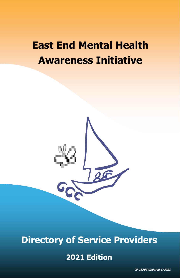# **East End Mental Health Awareness Initiative**



# **Directory of Service Providers**

# **2021 Edition**

**CP 15764 Updated 1/2021**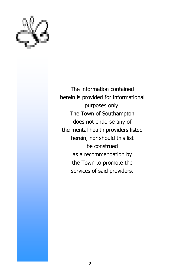

The information contained herein is provided for informational purposes only. The Town of Southampton does not endorse any of the mental health providers listed herein, nor should this list be construed as a recommendation by the Town to promote the services of said providers.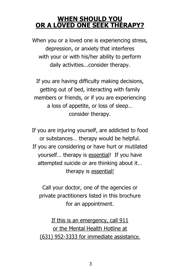### **WHEN SHOULD YOU OR A LOVED ONE SEEK THERAPY?**

When you or a loved one is experiencing stress, depression, or anxiety that interferes with your or with his/her ability to perform daily activities...consider therapy.

If you are having difficulty making decisions, getting out of bed, interacting with family members or friends, or if you are experiencing a loss of appetite, or loss of sleep… consider therapy.

If you are injuring yourself, are addicted to food or substances… therapy would be helpful. If you are considering or have hurt or mutilated yourself… therapy is essential! If you have attempted suicide or are thinking about it… therapy is essential!

Call your doctor, one of the agencies or private practitioners listed in this brochure for an appointment.

If this is an emergency, call 911 or the Mental Health Hotline at (631) 952-3333 for immediate assistance.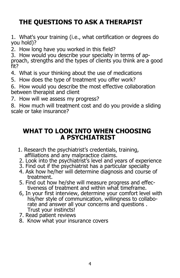# **THE QUESTIONS TO ASK A THERAPIST**

1. What's your training (i.e., what certification or degrees do you hold)?

2. How long have you worked in this field?

3. How would you describe your specialty in terms of approach, strengths and the types of clients you think are a good fit?

- 4. What is your thinking about the use of medications
- 5. How does the type of treatment you offer work?

6. How would you describe the most effective collaboration between therapist and client

7. How will we assess my progress?

8. How much will treatment cost and do you provide a sliding scale or take insurance?

### **WHAT TO LOOK INTO WHEN CHOOSING A PSYCHIATRIST**

- 1. Research the psychiatrist's credentials, training, affiliations and any malpractice claims.
- 2. Look into the psychiatrist's level and years of experience
- 3. Find out if the psychiatrist has a particular specialty
- 4. Ask how he/her will determine diagnosis and course of treatment.
- 5. Find out how he/she will measure progress and effectiveness of treatment and within what timeframe.
- 6, In your first interview, determine your comfort level with his/her style of communication, willingness to collaborate and answer all your concerns and questions. Trust your instincts!
- 7. Read patient reviews
- 8. Know what your insurance covers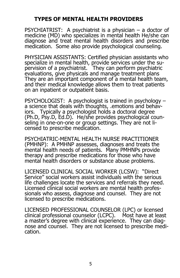### **TYPES OF MENTAL HEALTH PROVIDERS**

PSYCHIATRIST: A psychiatrist is a physician – a doctor of medicine (MD) who specializes in mental health He/she can diagnose and treat mental health disorders and prescribe medication. Some also provide psychological counseling.

PHYSICIAN ASSISTANTS: Certified physician assistants who specialize in mental health, provide services under the supervision of a psychiatrist. They can perform psychiatric evaluations, give physicals and manage treatment plans They are an important component of a mental health team, and their medical knowledge allows them to treat patients on an inpatient or outpatient basis.

PSYCHOLOGIST: A psychologist is trained in psychology – a science that deals with thoughts, .emotions and behaviors. Typically a psychologist holds a doctoral degree (Ph.D, Psy.D, Ed.D). He/she provides psychological counseling in one-on-one or group settings. They are not licensed to prescribe medication.

PSYCHIATRIC-MENTAL HEALTH NURSE PRACTITIONER (PMHNP): A PMHNP assesses, diagnoses and treats the mental health needs of patients. Many PMHNPs provide therapy and prescribe medications for those who have mental health disorders or substance abuse problems.

LICENSED CLINICAL SOCIAL WORKER (LCSW): "Direct Service" social workers assist individuals with the serious life challenges locate the services and referrals they need. Licensed clinical social workers are mental health professionals who assess, diagnose and counsel. They are not licensed to prescribe medications.

LICENSED PROFESSIONAL COUNSELOR (LPC) or licensed clinical professional counselor (LCPC). Most have at least a master's degree with clinical experience. They can diagnose and counsel. They are not licensed to prescribe medication.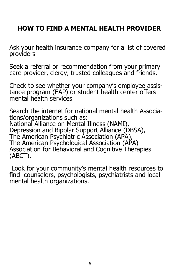# **HOW TO FIND A MENTAL HEALTH PROVIDER**

Ask your health insurance company for a list of covered providers

Seek a referral or recommendation from your primary care provider, clergy, trusted colleagues and friends.

Check to see whether your company's employee assistance program (EAP) or student health center offers mental health services

Search the internet for national mental health Associations/organizations such as: National Alliance on Mental Illness (NAMI), Depression and Bipolar Support Alliance (DBSA), The American Psychiatric Association (APA), The American Psychological Association (APA) Association for Behavioral and Cognitive Therapies (ABCT).

Look for your community's mental health resources to find counselors, psychologists, psychiatrists and local mental health organizations.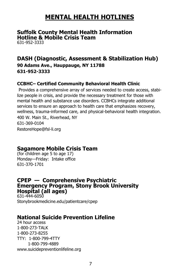# **MENTAL HEALTH HOTLINES**

#### **Suffolk County Mental Health Information Hotline & Mobile Crisis Team**

631-952-3333

### **DASH (Diagnostic, Assessment & Stabilization Hub)**

**90 Adams Ave., Hauppauge, NY 11788 631-952-3333**

#### **CCBHC– Certified Community Behavioral Health Clinic**

Provides a comprehensive array of services needed to create access, stabilize people in crisis, and provide the necessary treatment for those with mental health and substance use disorders. CCBHCs integrate additional services to ensure an approach to health care that emphasizes recovery, wellness, trauma-informed care, and physical-behavioral health integration. 400 W. Main St., Riverhead, NY 631-369-0104 RestoreHope@fsl-li.org

### **Sagamore Mobile Crisis Team**

(for children age 5 to age 17) Monday—Friday: Intake office 631-370-1701

#### **CPEP — Comprehensive Psychiatric Emergency Program, Stony Brook University Hospital (all ages)**

631-444-6050 Stonybrookmedicine.edu/patientcare/cpep

### **National Suicide Prevention Lifeline**

24 hour access 1-800-273-TALK 1-800-273-8255 TTY: 1-800-799-4TTY 1-800-799-4889 www.suicidepreventionlifeline.org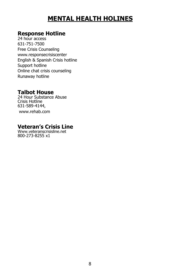# **MENTAL HEALTH HOLINES**

#### **Response Hotline**

24 hour access 631-751-7500 Free Crisis Counseling www.responsecrisiscenter English & Spanish Crisis hotline Support hotline Online chat crisis counseling Runaway hotline

#### **Talbot House**

24 Hour Substance Abuse Crisis Hotline 631-589-4144, www.rehab.com

### **Veteran's Crisis Line**

Www.veteranscrisisline.net 800-273-8255 x1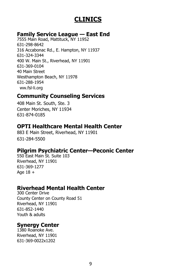# **CLINICS**

#### **Family Service League — East End**

7555 Main Road, Mattituck, NY 11952 631-298-8642 316 Accabonac Rd., E. Hampton, NY 11937 631-324-3344 400 W. Main St., Riverhead, NY 11901 631-369-0104 40 Main Street Westhampton Beach, NY 11978 631-288-1954 ww.fsl-li.org

### **Community Counseling Services**

408 Main St. South, Ste. 3 Center Moriches, NY 11934 631-874-0185

### **OPTI Healthcare Mental Health Center**

883 E Main Street, Riverhead, NY 11901 631-284-5500

#### **Pilgrim Psychiatric Center—Peconic Center**

550 East Main St. Suite 103 Riverhead, NY 11901 631-369-1277 Age  $18 +$ 

### **Riverhead Mental Health Center**

300 Center Drive County Center on County Road 51 Riverhead, NY 11901 631-852-1440 Youth & adults

### **Synergy Center**

1380 Roanoke Ave. Riverhead, NY 11901 631-369-0022x1202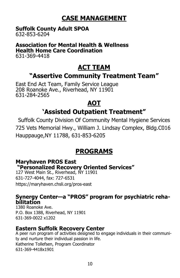# **CASE MANAGEMENT**

# **Suffolk County Adult SPOA**

632-853-6204

#### **Association for Mental Health & Wellness Health Home Care Coordination** 631-369-4418

# **ACT TEAM**

## **"Assertive Community Treatment Team"**

East End Act Team, Family Service League 208 Roanoke Ave., Riverhead, NY 11901 631-284-2565

### **AOT**

## **'Assisted Outpatient Treatment"**

Suffolk County Division Of Community Mental Hygiene Services 725 Vets Memorial Hwy., William J. Lindsay Complex, Bldg.C016 Hauppauge,NY 11788, 631-853-6205

# **PROGRAMS**

### **Maryhaven PROS East**

**"Personalized Recovery Oriented Services"** 

127 West Main St., Riverhead, NY 11901 631-727-4044, fax: 727-6531 https://maryhaven.chsli.org/pros-east

#### **Synergy Center—a "PROS" program for psychiatric rehabilitation**

1380 Roanoke Ave. P.O. Box 1388, Riverhead, NY 11901 631-369-0022 x1202

### **Eastern Suffolk Recovery Center**

A peer run program of activities designed to engage individuals in their community and nurture their individual passion in life. Katherine Tollefsen, Program Coordinator 631-369-4418x1901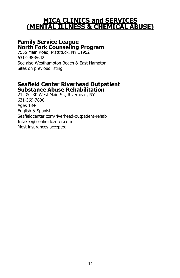### **MICA CLINICS and SERVICES (MENTAL ILLNESS & CHEMICAL ABUSE)**

### **Family Service League North Fork Counseling Program**

7555 Main Road, Mattituck, NY 11952 631-298-8642 See also Westhampton Beach & East Hampton Sites on previous listing

#### **Seafield Center Riverhead Outpatient Substance Abuse Rehabilitation**

212 & 230 West Main St., Riverhead, NY 631-369-7800 Ages 13+ English & Spanish Seafieldcenter.com/riverhead-outpatient-rehab Intake @ seafieldcenter.com Most insurances accepted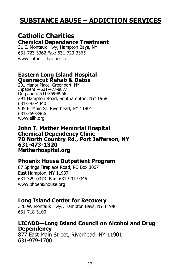# **SUBSTANCE ABUSE – ADDICTION SERVICES**

### **Catholic Charities**

### **Chemical Dependence Treatment**

31 E. Montauk Hwy, Hampton Bays, NY 631-723-3362 Fax: 631-723-3365 www.catholiccharities.cc

#### **Eastern Long Island Hospital Quannacut Rehab & Detox**

201 Manor Place, Greenport, NY Inpatient -4631-477-8877 Outpatient 631-369-8966 291 Hampton Road, Southampton, NY11968 631-283-4440 905 E. Main St. Riverhead, NY 11901 631-369-8966 www.elih.org

**John T. Mather Memorial Hospital Chemical Dependency Clinic 70 North Country Rd., Port Jefferson, NY 631-473-1320 Matherhospital.org**

#### **Phoenix House Outpatient Program**

87 Springs Fireplace Road, PO Box 3067 East Hampton, NY 11937 631-329-0373 Fax: 631-907-9345 www.phoenixhouse.org

### **Long Island Center for Recovery**

320 W. Montauk Hwy., Hampton Bays, NY 11946 631-718-3100

#### **LICADD—Long Island Council on Alcohol and Drug Dependency**

877 East Main Street, Riverhead, NY 11901 631-979-1700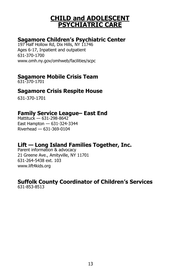### **CHILD and ADOLESCENT PSYCHIATRIC CARE**

### **Sagamore Children's Psychiatric Center**

197 Half Hollow Rd, Dix Hills, NY 11746 Ages 6-17, Inpatient and outpatient 631-370-1700 www.omh.ny.gov/omhweb/facilities/scpc

### **Sagamore Mobile Crisis Team**

631-370-1701

### **Sagamore Crisis Respite House**

631-370-1701

### **Family Service League– East End**

Mattituck — 631-298-8642 East Hampton — 631-324-3344 Riverhead — 631-369-0104

### **Lift — Long Island Families Together, Inc.**

Parent information & advocacy 21 Greene Ave., Amityville, NY 11701 631-264-5438 ext. 103 www.lift4kids.org

#### **Suffolk County Coordinator of Children's Services** 631-853-8513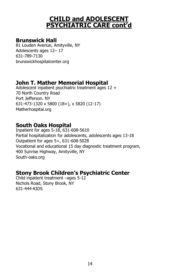### **CHILD and ADOLESCENT PSYCHIATRIC CARE cont'd**

#### **Brunswick Hall**

81 Louden Avenue, Amityville, NY Adolescents ages 12– 17 631-789-7130 brunswickhospitalcenter.org

### **John T. Mather Memorial Hospital**

Adolescent inpatient psychiatric treatment ages 12 + 70 North Country Road Port Jefferson. NY 631-473-1320 x 5800 (18+), x 5820 (12-17) Matherhospital.org

### **South Oaks Hospital**

Inpatient for ages 5-18, 631-608-5610 Partial hospitalization for adolescents, adolescents ages 13-18 Outpatient for ages 5+, 631-608-5028 Vocational and educational 15 day diagnostic treatment program, 400 Sunrise Highway, Amityville, NY South-oaks.org

## **Stony Brook Children's Psychiatric Center**

Child inpatient treatment –ages 5-12 Nichols Road, Stony Brook, NY 631-444-KIDS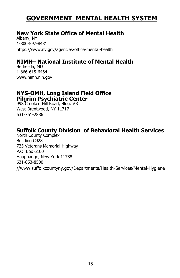# **GOVERNMENT MENTAL HEALTH SYSTEM**

### **New York State Office of Mental Health**

Albany, NY 1-800-597-8481 https://www.ny.gov/agencies/office-mental-health

### **NIMH– National Institute of Mental Health**

Bethesda, MD 1-866-615-6464 www.nimh.nih.gov

#### **NYS-OMH, Long Island Field Office Pilgrim Psychiatric Center**

998 Crooked Hill Road, Bldg. #3 West Brentwood, NY 11717 631-761-2886

### **Suffolk County Division of Behavioral Health Services**

North County Complex Building C928 725 Veterans Memorial Highway P.O. Box 6100 Hauppauge, New York 11788 631-853-8500 //www.suffolkcountyny.gov/Departments/Health-Services/Mental-Hygiene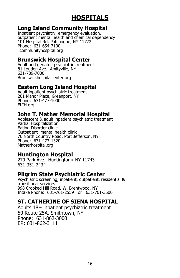# **HOSPITALS**

#### **Long Island Community Hospital**

Inpatient psychiatry, emergency evaluation, outpatient mental health and chemical dependency 101 Hospital Rd, Patchogue, NY 11772 Phone: 631-654-7100 licommunityhospital.org

#### **Brunswick Hospital Center**

Adult and geriatric psychiatric treatment 81 Louden Ave., Amityville, NY 631-789-7000 Brunswickhospitalcenter.org

#### **Eastern Long Island Hospital**

Adult inpatient psychiatric treatment 201 Manor Place, Greenport, NY Phone: 631-477-1000 ELIH.org

### **John T. Mather Memorial Hospital**

Adolescent & adult inpatient psychiatric treatment Partial Hospitalization Eating Disorder clinic Outpatient mental health clinic 70 North Country Road, Port Jefferson, NY Phone: 631-473-1320 Matherhospital.org

### **Huntington Hospital**

270 Park Ave., Huntington< NY 11743 631-351-2434

#### **Pilgrim State Psychiatric Center**

Psychiatric screening, inpatient, outpatient, residential & transitional services 998 Crooked Hill Road, W. Brentwood, NY Intake Phone: 631-761-2559 or 631-761-3500

### **ST. CATHERINE OF SIENA HOSPITAL**

Adults 18+ inpatient psychiatric treatment 50 Route 25A, Smithtown, NY Phone: 631-862-3000 ER: 631-862-3111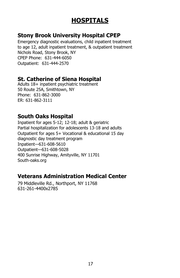# **HOSPITALS**

### **Stony Brook University Hospital CPEP**

Emergency diagnostic evaluations, child inpatient treatment to age 12, adult inpatient treatment, & outpatient treatment Nichols Road, Stony Brook, NY CPEP Phone: 631-444-6050 Outpatient: 631-444-2570

### **St. Catherine of Siena Hospital**

Adults 18+ inpatient psychiatric treatment 50 Route 25A, Smithtown, NY Phone: 631-862-3000 ER: 631-862-3111

### **South Oaks Hospital**

Inpatient for ages 5-12; 12-18; adult & geriatric Partial hospitalization for adolescents 13-18 and adults Outpatient for ages 5+ Vocational & educational 15 day diagnostic day treatment program Inpatient—631-608-5610 Outpatient—631-608-5028 400 Sunrise Highway, Amityville, NY 11701 South-oaks.org

### **Veterans Administration Medical Center**

79 Middleville Rd., Northport, NY 11768 631-261-4400x2785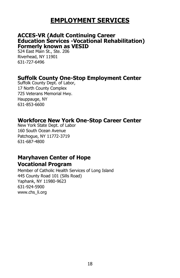# **EMPLOYMENT SERVICES**

#### **ACCES-VR (Adult Continuing Career Education Services -Vocational Rehabilitation) Formerly known as VESID**

524 East Main St., Ste. 206 Riverhead, NY 11901 631-727-6496

#### **Suffolk County One-Stop Employment Center**

Suffolk County Dept. of Labor, 17 North County Complex 725 Veterans Memorial Hwy. Hauppauge, NY 631-853-6600

### **Workforce New York One-Stop Career Center**

New York State Dept. of Labor 160 South Ocean Avenue Patchogue, NY 11772-3719 631-687-4800

### **Maryhaven Center of Hope Vocational Program**

Member of Catholic Health Services of Long Island 445 County Road 101 (Sills Road) Yaphank, NY 11980-9623 631-924-5900 www.chs\_li.org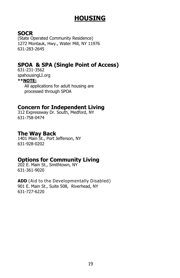# **HOUSING**

### **SOCR**

(State Operated Community Residence) 1272 Montauk, Hwy., Water Mill, NY 11976 631-283-2645

### **SPOA & SPA (Single Point of Access)**

631-231-3562 spahousingLI.org **\*\*NOTE:** All applications for adult housing are processed through SPOA

#### **Concern for Independent Living**

312 Expressway Dr. South, Medford, NY 631-758-0474

#### **The Way Back**

1401 Main St., Port Jefferson, NY 631-928-0202

### **Options for Community Living**

202 E. Main St., Smithtown, NY 631-361-9020

**ADD** (Aid to the Developmentally Disabled) 901 E. Main St., Suite 508, Riverhead, NY 631-727-6220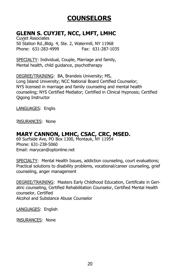### **GLENN S. CUYJET, NCC, LMFT, LMHC**

Cuyjet Associates 50 Station Rd.,Bldg. 4, Ste. 2, Watermill, NY 11968 Phone: 631-283-4999 Fax: 631-287-1035

SPECIALTY: Individual, Couple, Marriage and family, Mental health, child guidance, psychotherapy

DEGREE/TRAINING: BA, Brandeis University; MS, Long Island University; NCC National Board Certified Counselor; NYS licensed in marriage and family counseling and mental health counseling; NYS Certified Mediator; Certified in Clinical Hypnosis; Certified Qigong Instructor

LANGUAGES: Englis

INSURANCES: None

### **MARY CANNON, LMHC, CSAC, CRC, MSED.**

69 Surfside Ave, PO Box 1300, Montauk, NY 11954 Phone: 631-238-5060 Email: marycan@optonline.net

SPECIALTY: Mental Health Issues, addiction counseling, court evaluations; Practical solutions to disability problems, vocational/career counseling, grief counseling, anger management

DEGREE/TRAINING: Masters Early Childhood Education, Certificate in Geriatric counseling, Certified Rehabilitation Counselor, Certified Mental Health counselor, Certified Alcohol and Substance Abuse Counselor

LANGUAGES: English

INSURANCES: None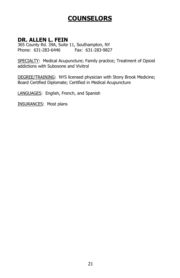### **DR. ALLEN L. FEIN**

365 County Rd. 39A, Suite 11, Southampton, NY Phone: 631-283-6446 Fax: 631-283-9827

SPECIALTY: Medical Acupuncture; Family practice; Treatment of Opioid addictions with Suboxone and Vivitrol

DEGREE/TRAINING: NYS licensed physician with Stony Brook Medicine; Board Certified Diplomate; Certified in Medical Acupuncture

LANGUAGES: English, French, and Spanish

INSURANCES: Most plans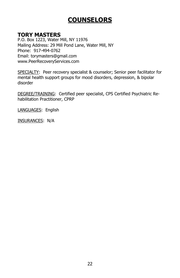#### **TORY MASTERS**

P.O. Box 1223, Water Mill, NY 11976 Mailing Address: 29 Mill Pond Lane, Water Mill, NY Phone: 917-494-0762 Email: torymasters@gmail.com www.PeerRecoveryServices.com

SPECIALTY: Peer recovery specialist & counselor; Senior peer facilitator for mental health support groups for mood disorders, depression, & bipolar disorder

DEGREE/TRAINING: Certified peer specialist, CPS Certified Psychiatric Rehabilitation Practitioner, CPRP

LANGUAGES: English

INSURANCES: N/A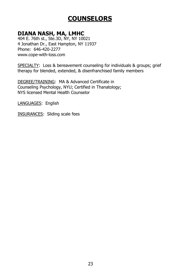### **DIANA NASH, MA, LMHC**

404 E. 76th st., Ste.3D, NY, NY 10021 4 Jonathan Dr., East Hampton, NY 11937 Phone: 646-420-2277 www.cope-with-loss.com

SPECIALTY: Loss & bereavement counseling for individuals & groups; grief therapy for blended, extended, & disenfranchised family members

DEGREE/TRAINING: MA & Advanced Certificate in Counseling Psychology, NYU; Certified in Thanatology; NYS licensed Mental Health Counselor

LANGUAGES: English

INSURANCES: Sliding scale fees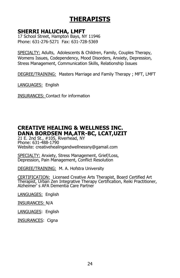# **THERAPISTS**

#### **SHERRI HALUCHA, LMFT**

17 School Street, Hampton Bays, NY 11946 Phone: 631-276-5271 Fax: 631-728-5369

SPECIALTY: Adults, Adolescents & Children, Family, Couples Therapy, Womens Issues, Codependency, Mood Disorders, Anxiety, Depression, Stress Management, Communication Skills, Relationship Issues

DEGREE/TRAINING: Masters Marriage and Family Therapy ; MFT, LMFT

LANGUAGES: English

INSURANCES: Contact for information

### **CREATIVE HEALING & WELLNESS INC. DANA BORDSEN MA,ATR-BC, LCAT,UZIT**

21 E. 2nd St., #105, Riverhead, NY Phone: 631-488-1790 Website: creativehealingandwellnessny@gamail.com

SPECIALTY: Anxiety, Stress Management, Grief/Loss, Depression, Pain Management, Conflict Resolution

DEGREE/TRAINING: M. A. Hofstra University

CERTIFICATION: Licensed Creative Arts Therapist, Board Certified Art Therapist, Urban Zen Integrative Therapy Certification, Reiki Practitioner, Alzheimer' s AFA Dementia Care Partner

LANGUAGES: English

INSURANCES: N/A

LANGUAGES: English

INSURANCES: Cigna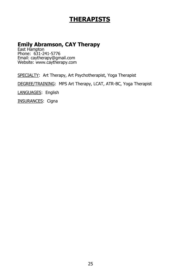# **THERAPISTS**

### **Emily Abramson, CAY Therapy**

East Hampton Phone: 631-241-5776 Email: caytherapy@gmail.com Website: www.caytherapy.com

SPECIALTY: Art Therapy, Art Psychotherapist, Yoga Therapist

DEGREE/TRAINING: MPS Art Therapy, LCAT, ATR-BC, Yoga Therapist

LANGUAGES: English

INSURANCES: Cigna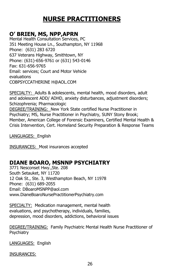# **NURSE PRACTITIONERS**

#### **O' BRIEN, MS, NPP,APRN**

Mental Health Consultation Services, PC 351 Meeting House Ln., Southampton, NY 11968 Phone: (631) 283 6720 637 Veterans Highway, Smithtown, NY Phone: (631)-656-9761 or (631) 543-0146 Fax: 631-656-9765 Email: services; Court and Motor Vehicle evaluations COBPSYCCATHERINE H@AOL.COM

SPECIALTY: Adults & adolescents, mental health, mood disorders, adult and adolescent ADD/ ADHD, anxiety disturbances, adjustment disorders; Schizophrenia; Pharmacologic DEGREE/TRAINING: New York State certified Nurse Practitioner in Psychiatry; MS, Nurse Practitioner in Psychiatry, SUNY Stony Brook; Member, American College of Forensic Examiners, Certified Mental Health & Crisis Intervention, Cert. Homeland Security Preparation & Response Teams

LANGUAGES: English

INSURANCES: Most insurances accepted

### **DIANE BOARO, MSNNP PSYCHIATRY**

3771 Nesconset Hwy.,Ste. 208 South Setauket, NY 11720 12 Oak St., Ste. 3, Westhampton Beach, NY 11978 Phone: (631) 689-2055 Email: DBoaroMSNPP@aol.com www.DianeBoaroNursePractitionerPsychiatry.com

SPECIALTY: Medication management, mental health evaluations, and psychotherapy, individuals, families, depression, mood disorders, addictions, behavioral issues

DEGREE/TRAINING: Family Psychiatric Mental Health Nurse Practitioner of **Psychiatry** 

LANGUAGES: English

INSURANCES: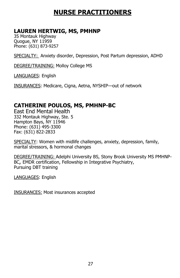# **NURSE PRACTITIONERS**

#### **LAUREN HERTWIG, MS, PMHNP**

35 Montauk Highway Quogue, NY 11959 Phone: (631) 873-9257

SPECIALTY: Anxiety disorder, Depression, Post Partum depression, ADHD

DEGREE/TRAINING: Molloy College MS

LANGUAGES: English

INSURANCES: Medicare, Cigna, Aetna, NYSHIP—out of network

### **CATHERINE POULOS, MS, PMHNP-BC**

East End Mental Health 332 Montauk Highway, Ste. 5 Hampton Bays, NY 11946 Phone: (631) 495-3300 Fax: (631) 822-2833

SPECIALTY: Women with midlife challenges, anxiety, depression, family, marital stressors, & hormonal changes

DEGREE/TRAINING: Adelphi University BS, Stony Brook University MS PMHNP-BC, EMDR certification, Fellowship in Integrative Psychiatry, Pursuing DBT training

LANGUAGES: English

INSURANCES: Most insurances accepted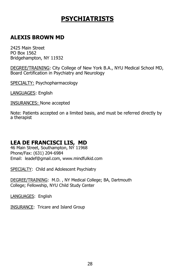# **PSYCHIATRISTS**

### **ALEXIS BROWN MD**

2425 Main Street PO Box 1562 Bridgehampton, NY 11932

DEGREE/TRAINING: City College of New York B.A., NYU Medical School MD, Board Certification in Psychiatry and Neurology

SPECIALTY: Psychopharmacology

LANGUAGES: English

INSURANCES: None accepted

Note: Patients accepted on a limited basis, and must be referred directly by a therapist

### **LEA DE FRANCISCI LIS, MD**

46 Main Street, Southampton, NY 11968 Phone/Fax: (631) 204-6984 Email: leadef@gmail.com, www.mindfulkid.com

SPECIALTY: Child and Adolescent Psychiatry

DEGREE/TRAINING: M.D. , NY Medical College; BA, Dartmouth College; Fellowship, NYU Child Study Center

LANGUAGES: English

INSURANCE: Tricare and Island Group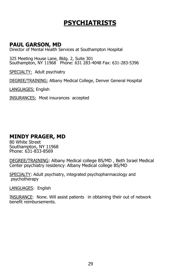# **PSYCHIATRISTS**

#### **PAUL GARSON, MD**

Director of Mental Health Services at Southampton Hospital

325 Meeting House Lane, Bldg. 2, Suite 301 Southampton, NY 11968 Phone: 631 283-4048 Fax: 631-283-5396

SPECIALTY: Adult psychiatry

DEGREE/TRAINING: Albany Medical College, Denver General Hospital

LANGUAGES: English

INSURANCES: Most insurances accepted

#### **MINDY PRAGER, MD**

80 White Street Southampton, NY 11968 Phone: 631-833-8569

DEGREE/TRAINING: Albany Medical college BS/MD , Beth Israel Medical Center psychiatry residency: Albany Medical college BS/MD

SPECIALTY: Adult psychiatry, integrated psychopharmacology and psychotherapy

LANGUAGES: English

INSURANCE: None. Will assist patients in obtaining their out of network benefit reimbursements.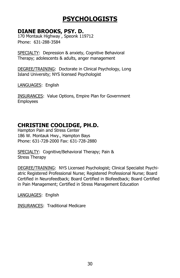### **DIANE BROOKS, PSY. D.**

170 Montauk Highway , Speonk 119712 Phone: 631-288-3584

SPECIALTY: Depression & anxiety, Cognitive Behavioral Therapy; adolescents & adults, anger management

DEGREE/TRAINING: Doctorate in Clinical Psychology, Long Island University; NYS licensed Psychologist

LANGUAGES: English

INSURANCES: Value Options, Empire Plan for Government Employees

### **CHRISTINE COOLIDGE, PH.D.**

Hampton Pain and Stress Center 186 W. Montauk Hwy., Hampton Bays Phone: 631-728-2000 Fax: 631-728-2880

SPECIALTY: Cognitive/Behavioral Therapy; Pain & Stress Therapy

DEGREE/TRAINING: NYS Licensed Psychologist; Clinical Specialist Psychiatric Registered Professional Nurse; Registered Professional Nurse; Board Certified in Neurofeedback; Board Certified in Biofeedback; Board Certified in Pain Management; Certified in Stress Management Education

LANGUAGES: English

INSURANCES: Traditional Medicare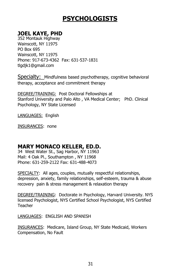### **JOEL KAYE, PHD**

352 Montauk Highway Wainscott, NY 11975 PO Box 695 Wainscott, NY 11975 Phone: 917-673-4362 Fax: 631-537-1831 tlgdjk1@gmail.com

Specialty: Mindfulness based psychotherapy, cognitive behavioral therapy, acceptance and commitment therapy

DEGREE/TRAINING: Post Doctoral Fellowships at Stanford University and Palo Alto , VA Medical Center; PhD. Clinical Psychology, NY State Licensed

LANGUAGES: English

INSURANCES: none

### **MARY MONACO KELLER, ED.D.**

34 West Water St., Sag Harbor, NY 11963 Mail: 4 Oak Pl., Southampton , NY 11968 Phone: 631-259-2122 Fax: 631-488-4073

SPECIALTY: All ages, couples, mutually respectful relationships, depression, anxiety, family relationships, self-esteem, trauma & abuse recovery pain & stress management & relaxation therapy

DEGREE/TRAINING: Doctorate in Psychology, Harvard University. NYS licensed Psychologist, NYS Certified School Psychologist, NYS Certified Teacher

LANGUAGES: ENGLISH AND SPANISH

INSURANCES: Medicare, Island Group, NY State Medicaid, Workers Compensation, No Fault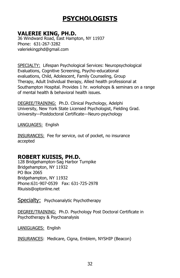### **VALERIE KING, PH.D.**

36 Windward Road, East Hampton, NY 11937 Phone: 631-267-3282 valeriekingphd@gmail.com

SPECIALTY: Lifespan Psychological Services: Neuropsychological Evaluations, Cognitive Screening, Psycho-educational evaluations, Child, Adolescent, Family Counseling, Group Therapy, Adult Individual therapy, Allied health professional at Southampton Hospital. Provides 1 hr. workshops & seminars on a range of mental health & behavioral health issues.

DEGREE/TRAINING: Ph.D. Clinical Psychology, Adelphi University, New York State Licensed Psychologist, Fielding Grad. University—Postdoctoral Certificate—Neuro-psychology

LANGUAGES: English

INSURANCES: Fee for service, out of pocket, no insurance accepted

#### **ROBERT KUISIS, PH.D.**

128 Bridgehampton-Sag Harbor Turnpike Bridgehampton, NY 11932 PO Box 2065 Bridgehampton, NY 11932 Phone:631-907-0539 Fax: 631-725-2978 Rkuisis@optonline.net

Specialty: Psychoanalytic Psychotherapy

DEGREE/TRAINING: Ph.D. Psychology Post Doctoral Certificate in Psychotherapy & Psychoanalysis

LANIGUAGES: English

INSURANCES: Medicare, Cigna, Emblem, NYSHIP (Beacon)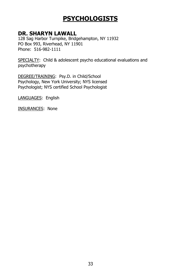#### **DR. SHARYN LAWALL**

128 Sag Harbor Turnpike, Bridgehampton, NY 11932 PO Box 993, Riverhead, NY 11901 Phone: 516-982-1111

SPECIALTY: Child & adolescent psycho educational evaluations and psychotherapy

DEGREE/TRAINING: Psy.D. in Child/School Psychology, New York University; NYS licensed Psychologist; NYS certified School Psychologist

LANGUAGES: English

INSURANCES: None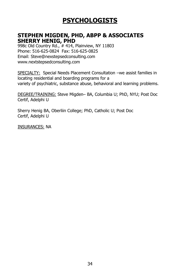#### **STEPHEN MIGDEN, PHD, ABPP & ASSOCIATES SHERRY HENIG, PHD**

998c Old Country Rd., # 414, Plainview, NY 11803 Phone: 516-625-0824 Fax: 516-625-0825 Email: Steve@nexstepsedconsulting.com www.nextstepsedconsulting.com

SPECIALTY: Special Needs Placement Consultation –we assist families in locating residential and boarding programs for a variety of psychiatric, substance abuse, behavioral and learning problems.

DEGREE/TRAINING: Steve Migden– BA, Columbia U; PhD, NYU; Post Doc Certif, Adelphi U

Sherry Henig BA, Oberliin College; PhD, Catholic U; Post Doc Certif, Adelphi U

INSURANCES: NA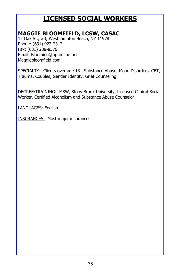### **MAGGIE BLOOMFIELD, LCSW, CASAC**

12 Oak St., #3, Westhampton Beach, NY 11978 Phone: (631) 922-2312 Fax: (631) 288-8576 Email: Blooming@optonline.net Maggiebloomfield.com

SPECIALTY: Clients over age 13. Substance Abuse, Mood Disorders, CBT, Trauma, Couples, Gender Identity, Grief Counseling

DEGREE/TRAINING: MSW, Stony Brook University, Licensed Clinical Social Worker, Certified Alcoholism and Substance Abuse Counselor

LANGUAGES: English

INSURANCES: Most major insurances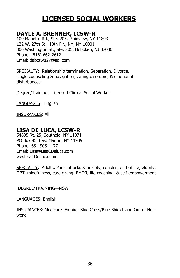#### **DAYLE A. BRENNER, LCSW-R**

100 Manetto Rd., Ste. 205, Plainview, NY 11803 122 W. 27th St., 10th Flr., NY, NY 10001 306 Washington St., Ste. 205, Hoboken, NJ 07030 Phone: (516) 662-2612 Email: dabcsw827@aol.com

SPECIALTY: Relationship termination, Separation, Divorce, single counseling & navigation, eating disorders, & emotional disturbances

Degree/Training: Licensed Clinical Social Worker

LANGUAGES: English

INSURANCES: All

### **LISA DE LUCA, LCSW-R**

54895 Rt. 25, Southold, NY 11971 PO Box 45, East Marion, NY 11939 Phone: 631-903-4177 Email: Lisa@LisaCDeluca.com ww.LisaCDeLuca.com

SPECIALTY: Adults, Panic attacks & anxiety, couples, end of life, elderly, DBT, mindfulness, care giving, EMDR, life coaching, & self empowerment

DEGREE/TRAINING—MSW

LANGUAGES: English

INSURANCES: Medicare, Empire, Blue Cross/Blue Shield, and Out of Network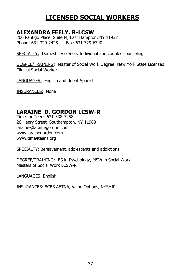#### **ALEXANDRA FEELY, R-LCSW**

200 Pantigo Place, Suite M, East Hampton, NY 11937 Phone: 631-329-2425 Fax: 631-329-6340

SPECIALTY: Domestic Violence; Individual and couples counseling

DEGREE/TRAINING: Master of Social Work Degree; New York State Licensed Clinical Social Worker

LANGUAGES: English and fluent Spanish

INSURANCES: None

### **LARAINE D. GORDON LCSW-R**

Time for Teens 631-338-7258 26 Henry Street Southampton, NY 11968 laraine@larainegordon.com www.larainegordon.com www.time4teens.org

SPECIALTY: Bereavement, adolescents and addictions.

DEGREE/TRAINING: BS in Psychology, MSW in Social Work. Masters of Social Work LCSW-R

LANGUAGES: English

INSURANCES: BCBS AETNA, Value Options, NYSHIP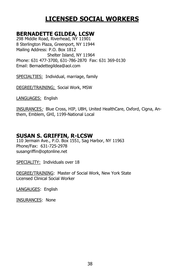#### **BERNADETTE GILDEA, LCSW**

298 Middle Road, Riverhead, NY 11901 8 Sterlington Plaza, Greenport, NY 11944 Mailing Address: P.O. Box 1812 Shelter Island, NY 11964 Phone: 631 477-3700, 631-786-2870 Fax: 631 369-0130 Email: Bernadettegildea@aol.com

SPECIALTIES: Individual, marriage, family

DEGREE/TRAINING; Social Work, MSW

LANGUAGES: English

INSURANCES: Blue Cross, HIP, UBH, United HealthCare, Oxford, Cigna, Anthem, Emblem, GHI, 1199-National Local

#### **SUSAN S. GRIFFIN, R-LCSW**

110 Jermain Ave., P.O. Box 1551, Sag Harbor, NY 11963 Phone/Fax: 631-725-2978 susangriffin@optonline.net

SPECIALITY: Individuals over 18

DEGREE/TRAINING: Master of Social Work, New York State Licensed Clinical Social Worker

LANGAUGES: English

INSURANCES: None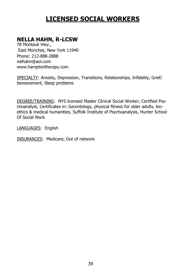### **NELLA HAHN, R-LCSW**

78 Montauk Hwy., East Moriches, New York 11940 Phone: 212-888-2888 nelhahn@aol.com www.hamptontherapy.com

SPECIALTY: Anxiety, Depression, Transitions, Relationships, Infidelity, Grief/ bereavement, Sleep problems

DEGREE/TRAINING: NYS licensed Master Clinical Social Worker; Certified Psychoanalyst, Certificates in: Gerontology, physical fitness for older adults, bioethics & medical humanities, Suffolk Institute of Psychoanalysis, Hunter School Of Social Work

LANGUAGES: English

INSURANCES: Medicare, Out of network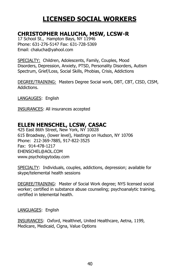#### **CHRISTOPHER HALUCHA, MSW, LCSW-R**

17 School St., Hampton Bays, NY 11946 Phone: 631-276-5147 Fax: 631-728-5369 Email: chalucha@yahool.com

SPECIALTY: Children, Adolescents, Family, Couples, Mood Disorders, Depression, Anxiety, PTSD, Personality Disorders, Autism Spectrum, Grief/Loss, Social Skills, Phobias, Crisis, Addictions

DEGREE/TRAINING: Masters Degree Social work, DBT, CBT, CISD, CISM, Addictions.

LANGAUGES: English

INSURANCES: All insurances accepted

### **ELLEN HENSCHEL, LCSW, CASAC**

425 East 86th Street, New York, NY 10028 615 Broadway, (lower level), Hastings on Hudson, NY 10706 Phone: 212-369-7885, 917-822-3525 Fax: 914-478-1217 EHENSCHEL@AOL.COM www.psychologytoday.com

SPECIALTY: Individuals, couples, addictions, depression; available for skype/telemental health sessions

DEGREE/TRAINING: Master of Social Work degree; NYS licensed social worker; certified in substance abuse counseling; psychoanalytic training, certified in telemental health.

LANGUAGES: English

INSURANCES: Oxford, Healthnet, United Healthcare, Aetna, 1199, Medicare, Medicaid, Cigna, Value Options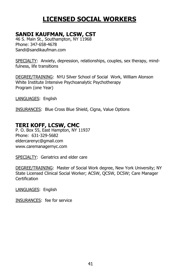### **SANDI KAUFMAN, LCSW, CST**

46 S. Main St., Southampton, NY 11968 Phone: 347-658-4678 Sandi@sandikaufman.com

SPECIALTY: Anxiety, depression, relationships, couples, sex therapy, mindfulness, life transitions

DEGREE/TRAINING: NYU Silver School of Social Work, William Alonson White Institute Intensive Psychoanalytic Psychotherapy Program (one Year)

LANGUAGES: English

INSURANCES: Blue Cross Blue Shield, Cigna, Value Options

### **TERI KOFF, LCSW, CMC**

P. O. Box 55, East Hampton, NY 11937 Phone: 631-329-5682 eldercarenyc@gmail.com www.caremanagernyc.com

SPECIALTY: Geriatrics and elder care

DEGREE/TRAINING: Master of Social Work degree, New York University; NY State Licensed Clinical Social Worker; ACSW, QCSW, DCSW; Care Manager **Certification** 

LANGUAGES: English

INSURANCES: fee for service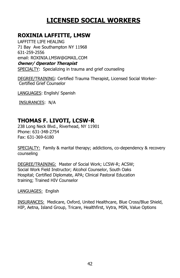### **ROXINIA LAFFITTE, LMSW**

LAFFITTE LIFE HEALING 71 Bay Ave Southampton NY 11968 631-259-2556 email: ROXINIA.LMSW@GMAIL.COM **Owner/ Operator Therapist** SPECIALTY: Specializing in trauma and grief counseling

DEGREE/TRAINING: Certified Trauma Therapist, Licensed Social Worker-Certified Grief Counselor

LANGUAGES: English/ Spanish

INSURANCES: N/A

### **THOMAS F. LIVOTI, LCSW-R**

238 Long Neck Blvd., Riverhead, NY 11901 Phone: 631-348-2754 Fax: 631-369-6180

SPECIALTY: Family & marital therapy; addictions, co-dependency & recovery counseling

DEGREE/TRAINING: Master of Social Work; LCSW-R; ACSW; Social Work Field Instructor; Alcohol Counselor, South Oaks Hospital; Certified Diplomate, APA; Clinical Pastoral Education training; Trained HIV Counselor

LANGUAGES: English

INSURANCES: Medicare, Oxford, United Healthcare, Blue Cross/Blue Shield, HIP, Aetna, Island Group, Tricare, Healthfirst, Vytra, MSN, Value Options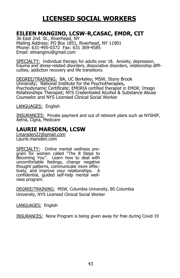#### **EILEEN MANGINO, LCSW-R,CASAC, EMDR, CIT**

36 East 2nd. St., Riverhead, NY Mailing Address: PO Box 1851, Riverhead, NY 11901 Phone: 631-495-0372 Fax: 631 369-4585 Email: elmangino@gmail.com

SPECIALTY: Individual therapy for adults over 18. Anxiety, depression, trauma and stress-related disorders, dissociative disorders, relationship difficulties, addiction recovery and life transitions.

DEGREE/TRAINING: BA, UC Berkeley; MSW, Stony Brook University; National Institute for the Psychotherapies, Psychodynamic Certificate; EMDRIA certified therapist in EMDR; Imago Relationships Therapist; NYS Credentialed Alcohol & Substance Abuse Counselor and NYS Licensed Clinical Social Worker

LANGUAGES: English

INSURANCES: Private payment and out of network plans such as NYSHIP, Aetna, Cigna, Medicare

#### **LAURIE MARSDEN, LCSW**

[Lmarsden22@gmail.com](mailto:Lmarsden22@gmail.com) Laurie.marsden.com

SPECIALTY: Online mental wellness program for women called "The 8 Steps to Becoming You". Learn how to deal with uncomfortable feelings, change negative thought patterns, communicate more effectively, and improve your relationships. A confidential, guided self-help mental wellness program.

DEGREE/TRAINING: MSW, Columbia University, BS Columbia University, NYS Licensed Clinical Social Worker

LANGUAGES: English

INSURANCES: None Program is being given away for free during Covid 19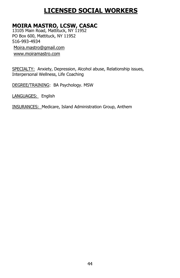### **MOIRA MASTRO, LCSW, CASAC**

13105 Main Road, Mattituck, NY 11952 PO Box 600, Mattituck, NY 11952 516-993-4934 [Moira.mastro@gmail.com](mailto:Moira.mastro@gmail.com) [www.moiramastro.com](http://www.moiramastro.com)

SPECIALTY: Anxiety, Depression, Alcohol abuse, Relationship issues, Interpersonal Wellness, Life Coaching

DEGREE/TRAINING: BA Psychology. MSW

LANGUAGES: English

INSURANCES: Medicare, Island Administration Group, Anthem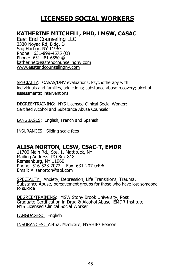### **KATHERINE MITCHELL, PHD, LMSW, CASAC**

East End Counseling LLC 3330 Noyac Rd, Bldg. D Sag Harbor, NY 11963 Phone: 631-899-4575 (O) Phone: 631-481-6550 © [katherine@eastendcounselingny.com](mailto:katherine@eastendcounselingny.com) [www.eastendcounselingny.com](http://www.eastendcounselingny.com)

SPECIALTY: OASAS/DMV evaluations, Psychotherapy with individuals and families, addictions; substance abuse recovery; alcohol assessments; interventions

DEGREE/TRAINING: NYS Licensed Clinical Social Worker; Certified Alcohol and Substance Abuse Counselor

LANGUAGES: English, French and Spanish

INSURANCES: Sliding scale fees

#### **ALISA NORTON, LCSW, CSAC-T, EMDR**

11700 Main Rd., Ste. 1, Mattituck, NY Mailing Address: PO Box 818 Remsenburg, NY 11960 Phone: 516-523-7072 Fax: 631-207-0496 Email: Alisanorton@aol.com

SPECIALTY: Anxiety, Depression, Life Transitions, Trauma, Substance Abuse, bereavement groups for those who have lost someone to suicide

DEGREE/TRAINING: MSW Stony Brook University, Post Graduate Certification in Drug & Alcohol Abuse, EMDR Institute. NYS Licensed Clinical Social Worker

LANGUAGES: English

INSURANCES: Aetna, Medicare, NYSHIP/ Beacon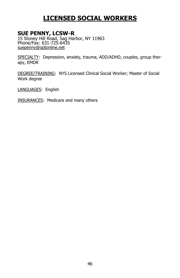#### **SUE PENNY, LCSW-R**

15 Stoney Hill Road, Sag Harbor, NY 11963 Phone/Fax: 631-725-6435 [suepenny@optonline.net](mailto:suepenny@optonline.net)

SPECIALTY: Depression, anxiety, trauma, ADD/ADHD, couples, group therapy, EMDR

DEGREE/TRAINING: NYS Licensed Clinical Social Worker; Master of Social Work degree

LANGUAGES: English

INSURANCES: Medicare and many others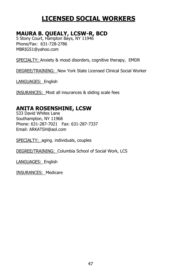### **MAURA B. QUEALY, LCSW-R, BCD**

5 Stony Court, Hampton Bays, NY 11946 Phone/Fax: 631-728-2786 MBRIG51@yahoo.com

SPECIALTY: Anxiety & mood disorders, cognitive therapy, EMDR

DEGREE/TRAINING: New York State Licensed Clinical Social Worker

LANGUAGES: English

INSURANCES: Most all insurances & sliding scale fees

#### **ANITA ROSENSHINE, LCSW**

533 David Whites Lane Southampton, NY 11968 Phone: 631-287-7021 Fax: 631-287-7337 Email: ARKATSH@aol.com

SPECIALTY: aging. individuals, couples

DEGREE/TRAINING: Columbia School of Social Work, LCS

LANGUAGES: English

INSURANCES: Medicare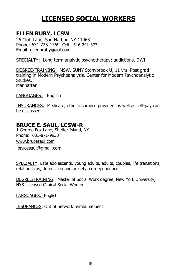### **ELLEN RUBY, LCSW**

26 Club Lane, Sag Harbor, NY 11963 Phone: 631 725-1769 Cell: 516-241-3774 Email: ellenpruby@aol.com

SPECIALTY: Long term analytic psychotherapy; addictions, DWI

DEGREE/TRAINING: MSW, SUNY Stonybrook U, 11 yrs. Post grad training in Modern Psychoanalysis, Center for Modern Psychoanalytic Studies, Manhattan

LANGUAGES: English

INSURANCES: Medicare, other insurance providers as well as self-pay can be discussed

### **BRUCE E. SAUL, LCSW-R**

1 George Fox Lane, Shelter Island, NY Phone: 631-871-9933 [www.brucesaul.com](http://www.brucesaul.com) brucesaul@gmail.com

SPECIALTY: Late adolescents, young adults, adults, couples, life transitions, relationships, depression and anxiety, co-dependence

DEGREE/TRAINING: Master of Social Work degree, New York University, NYS Licensed Clinical Social Worker

LANGUAGES: English

INSURANCES: Out of network reimbursement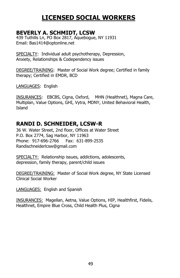### **BEVERLY A. SCHMIDT, LCSW**

439 Tuthills Ln, PO Box 2817, Aquebogue, NY 11931 Email: Bas1414@optonline.net

SPECIALTY: Individual adult psychotherapy, Depression, Anxiety, Relationships & Codependency issues

DEGREE/TRAINING: Master of Social Work degree; Certified in family therapy; Certified in EMDR, BCD

LANGUAGES: English

INSURANCES: EBCBS, Cigna, Oxford, MHN (Healthnet), Magna Care, Multiplan, Value Options, GHI, Vytra, MDNY, United Behavioral Health, Island

#### **RANDI D. SCHNEIDER, LCSW-R**

36 W. Water Street, 2nd floor, Offices at Water Street P.O. Box 2774, Sag Harbor, NY 11963 Phone: 917-696-2766 Fax: 631-899-2535 Randischneiderlcsw@gmail.com

SPECIALTY: Relationship issues, addictions, adolescents, depression, family therapy, parent/child issues

DEGREE/TRAINING: Master of Social Work degree, NY State Licensed Clinical Social Worker

LANGUAGES: English and Spanish

INSURANCES: Magellan, Aetna, Value Options, HIP, Healthfirst, Fidelis, Healthnet, Empire Blue Cross, Child Health Plus, Cigna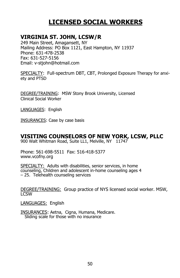### **VIRGINIA ST. JOHN, LCSW/R**

249 Main Street, Amagansett, NY Mailing Address: PO Box 1121, East Hampton, NY 11937 Phone: 631-478-2538 Fax: 631-527-5156 Email: v-stjohn@hotmail.com

SPECIALTY: Full-spectrum DBT, CBT, Prolonged Exposure Therapy for anxiety and PTSD

DEGREE/TRAINING: MSW Stony Brook University, Licensed Clinical Social Worker

LANGUAGES: English

INSURANCES: Case by case basis

#### **VISITING COUNSELORS OF NEW YORK, LCSW, PLLC**

900 Walt Whitman Road, Suite LL1, Melville, NY 11747

Phone: 561-698-5511 Fax: 516-418-5377 www.vcofny.org

SPECIALTY: Adults with disabilities, senior services, in home counseling, Children and adolescent in-home counseling ages 4 – 25. Telehealth counseling services

DEGREE/TRAINING: Group practice of NYS licensed social worker. MSW, **LCSW** 

LANGUAGES: English

INSURANCES: Aetna, Cigna, Humana, Medicare. Sliding scale for those with no insurance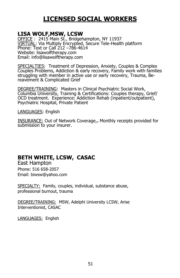#### **LISA WOLF,MSW, LCSW**

OFFICE : 2415 Main St., Bridgehampton, NY 11937 VIRTUAL: Via Multiply Encrypted, Secure Tele-Health platform Phone: Text or Call 212 –786-4614 Website: lisawolftherapy.com Email: info@lisawolftherapy.com

SPECIALTIES: Treatment of Depression, Anxiety, Couples & Complex Couples Problems, Addiction & early recovery, Family work with families struggling with member in active use or early recovery, Trauma, Bereavement & Complicated Grief

DEGREE/TRAINING: Masters in Clinical Psychiatric Social Work, Columbia University, Training & Certifications: Couples therapy, Grief/ OCD treatment. Experience: Addiction Rehab (inpatient/outpatient), Psychiatric Hospital, Private Patient

LANGUAGES: English

INSURANCE: Out of Network Coverage,**.** Monthly receipts provided for submission to your insurer.

### **BETH WHITE, LCSW, CASAC**

East Hampton Phone: 516 658-2057 Email: biwsw@yahoo.com

SPECIALTY: Family, couples, individual, substance abuse, professional burnout, trauma

DEGREE/TRAINING: MSW, Adelphi University LCSW, Arise Interventionist, CASAC

LANGUAGES: English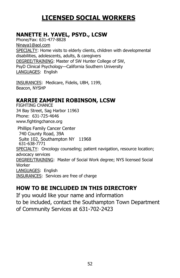### **NANETTE H. YAVEL, PSYD., LCSW**

Phone/Fax: 631-477-8828 [Ninaya1@aol.com](mailto:Ninaya1@aol.com) SPECIALTY: Home visits to elderly clients, children with developmental disabilities, adolescents, adults, & caregivers DEGREE/TRAINING: Master of SW Hunter College of SW, PsyD Clinical Psychology—California Southern University LANGUAGES: English

INSURANCES: Medicare, Fidelis, UBH, 1199, Beacon, NYSHP

### **KARRIE ZAMPINI ROBINSON, LCSW**

FIGHTING CHANCE 34 Bay Street, Sag Harbor 11963 Phone: 631-725-4646 www.fightingchance.org

Phillips Family Cancer Center 740 County Road, 39A Suite 102, Southampton NY 11968 631-638-7771 SPECIALTY: Oncology counseling; patient navigation, resource location; advocacy services DEGREE/TRAINING: Master of Social Work degree; NYS licensed Social Worker LANGUAGES: English INSURANCES: Services are free of charge

### **HOW TO BE INCLUDED IN THIS DIRECTORY**

If you would like your name and information to be included, contact the Southampton Town Department of Community Services at 631-702-2423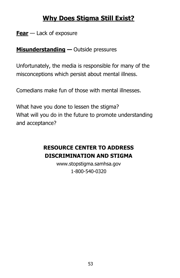# **Why Does Stigma Still Exist?**

**Fear** — Lack of exposure

**Misunderstanding —** Outside pressures

Unfortunately, the media is responsible for many of the misconceptions which persist about mental illness.

Comedians make fun of those with mental illnesses.

What have you done to lessen the stigma? What will you do in the future to promote understanding and acceptance?

## **RESOURCE CENTER TO ADDRESS DISCRIMINATION AND STIGMA**

www.stopstigma.samhsa.gov 1-800-540-0320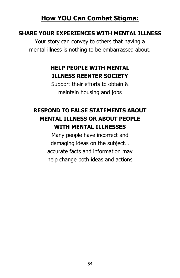# **How YOU Can Combat Stigma:**

### **SHARE YOUR EXPERIENCES WITH MENTAL ILLNESS**

Your story can convey to others that having a mental illness is nothing to be embarrassed about.

# **HELP PEOPLE WITH MENTAL ILLNESS REENTER SOCIETY**

Support their efforts to obtain & maintain housing and jobs

# **RESPOND TO FALSE STATEMENTS ABOUT MENTAL ILLNESS OR ABOUT PEOPLE WITH MENTAL ILLNESSES**

Many people have incorrect and damaging ideas on the subject… accurate facts and information may help change both ideas and actions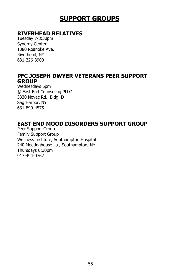# **SUPPORT GROUPS**

### **RIVERHEAD RELATIVES**

Tuesday 7-8:30pm Synergy Center 1380 Roanoke Ave. Riverhead, NY 631-226-3900

#### **PFC JOSEPH DWYER VETERANS PEER SUPPORT GROUP**

Wednesdays 6pm @ East End Counseling PLLC 3330 Noyac Rd., Bldg. D Sag Harbor, NY 631-899-4575

### **EAST END MOOD DISORDERS SUPPORT GROUP**

Peer Support Group Family Support Group Wellness Institute, Southampton Hospital 240 Meetinghouse La., Southampton, NY Thursdays 6:30pm 917-494-0762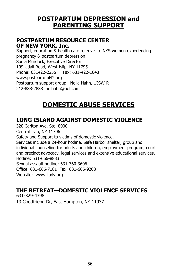### **POSTPARTUM DEPRESSION and PARENTING SUPPORT**

#### **POSTPARTUM RESOURCE CENTER OF NEW YORK, Inc.**

Support, education & health care referrals to NYS women experiencing pregnancy & postpartum depression Sonia Murdock, Executive Director 109 Udall Road, West Islip, NY 11795 Phone: 631422-2255 Fax: 631-422-1643 www.postpartumNY.org Postpartum support group—Nella Hahn, LCSW-R 212-888-2888 nelhahn@aol.com

# **DOMESTIC ABUSE SERVICES**

### **LONG ISLAND AGAINST DOMESTIC VIOLENCE**

320 Carlton Ave, Ste. 8000 Central Islip, NY 11706 Safety and Support to victims of domestic violence. Services include a 24-hour hotline, Safe Harbor shelter, group and individual counseling for adults and children, employment program, court and precinct advocacy, legal services and extensive educational services. Hotline: 631-666-8833 Sexual assault hotline: 631-360-3606 Office: 631-666-7181 Fax: 631-666-9208 Website: www.liadv.org

### **THE RETREAT—DOMESTIC VIOLENCE SERVICES**

631-329-4398 13 Goodfriend Dr, East Hampton, NY 11937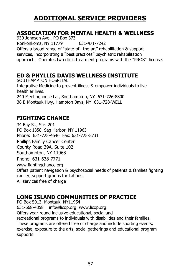# **ADDITIONAL SERVICE PROVIDERS**

### **ASSOCIATION FOR MENTAL HEALTH & WELLNESS**

939 Johnson Ave., PO Box 373 Ronkonkoma, NY 11779 631-471-7242 Offers a broad range of "state-of –the-art" rehabilitation & support services, incorporating a "best practices" psychiatric rehabilitation approach. Operates two clinic treatment programs with the "PROS" license.

#### **ED & PHYLLIS DAVIS WELLNESS INSTITUTE**

SOUTHAMPTON HOSPITAL Integrative Medicine to prevent illness & empower individuals to live healthier lives. 240 Meetinghouse La., Southampton, NY 631-726-8800 38 B Montauk Hwy, Hampton Bays, NY 631-728-WELL

### **FIGHTING CHANCE**

34 Bay St., Ste. 201 PO Box 1358, Sag Harbor, NY 11963 Phone: 631-725-4646 Fax: 631-725-5731 Phillips Family Cancer Center County Road 39A, Suite 102 Southampton, NY 11968 Phone: 631-638-7771 www.fightingchance.org Offers patient navigation & psychosocial needs of patients & families fighting cancer, support groups for Latinos. All services free of charge

### **LONG ISLAND COMMUNITIES OF PRACTICE**

PO Box 5013, Montauk, NY11954 631-668-4858 info@licop.org www.licop.org Offers year-round inclusive educational, social and recreational programs to individuals with disabilities and their families. These programs are offered free of charge and include sporting events, exercise, exposure to the arts, social gatherings and educational program supports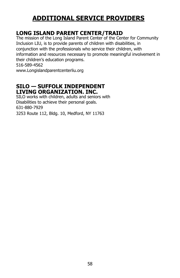# **ADDITIONAL SERVICE PROVIDERS**

### **LONG ISLAND PARENT CENTER/TRAID**

The mission of the Long Island Parent Center of the Center for Community Inclusion LIU, is to provide parents of children with disabilities, in conjunction with the professionals who service their children, with information and resources necessary to promote meaningful involvement in their children's education programs.

516-589-4562

www.Longislandparentcenterliu.org

#### **SILO — SUFFOLK INDEPENDENT LIVING ORGANIZATION. INC.**

SILO works with children, adults and seniors with Disabilities to achieve their personal goals. 631-880-7929 3253 Route 112, Bldg. 10, Medford, NY 11763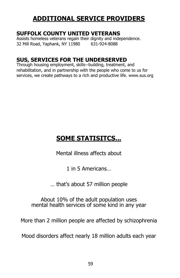# **ADDITIONAL SERVICE PROVIDERS**

#### **SUFFOLK COUNTY UNITED VETERANS**

Assists homeless veterans regain their dignity and independence. 32 Mill Road, Yaphank, NY 11980 631-924-8088

### **SUS, SERVICES FOR THE UNDERSERVED**

Through housing employment, skills--building, treatment, and rehabilitation, and in partnership with the people who come to us for services, we create pathways to a rich and productive life. www.sus.org

# **SOME STATISITCS...**

Mental illness affects about

1 in 5 Americans…

… that's about 57 million people

About 10% of the adult population uses mental health services of some kind in any year

More than 2 million people are affected by schizophrenia

Mood disorders affect nearly 18 million adults each year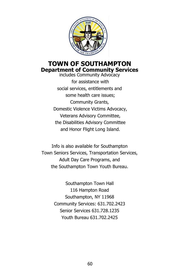

### **TOWN OF SOUTHAMPTON Department of Community Services**

includes Community Advocacy for assistance with social services, entitlements and some health care issues; Community Grants, Domestic Violence Victims Advocacy, Veterans Advisory Committee, the Disabilities Advisory Committee and Honor Flight Long Island.

Info is also available for Southampton Town Seniors Services, Transportation Services, Adult Day Care Programs, and the Southampton Town Youth Bureau.

> Southampton Town Hall 116 Hampton Road Southampton, NY 11968 Community Services: 631.702.2423 Senior Services 631.728.1235 Youth Bureau 631.702.2425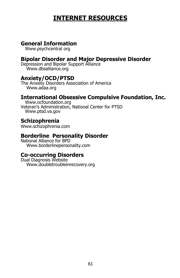# **INTERNET RESOURCES**

#### **General Information**

Www.psychcentral org

#### **Bipolar Disorder and Major Depressive Disorder**

Depression and Bipolar Support Alliance Www.dbsalliance.org

#### **Anxiety/OCD/PTSD**

The Anxiety Disorders Association of America Www.adaa.org

#### **International Obsessive Compulsive Foundation, Inc.**

 Www.ocfoundation.org Veteran's Administration, National Center for PTSD Www.ptsd.va.gov

#### **Schizophrenia**

Www.schizophrenia.com

#### **Borderline Personality Disorder**

National Alliance for BPD Www.borderlinepersonality.com

### **Co-occurring Disorders**

Dual Diagnosis Website Www.doubletroubleinrecovery.org